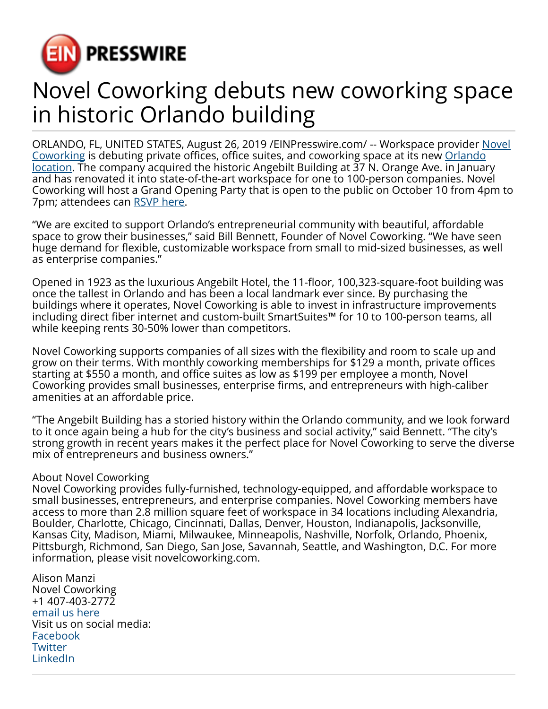

## Novel Coworking debuts new coworking space in historic Orlando building

ORLANDO, FL, UNITED STATES, August 26, 2019 /[EINPresswire.com/](http://www.einpresswire.com) -- Workspace provider [Novel](https://novelcoworking.com) [Coworking](https://novelcoworking.com) is debuting private offices, office suites, and coworking space at its new [Orlando](https://novelcoworking.com/locations/florida/orlando/angebilt-building/) [location.](https://novelcoworking.com/locations/florida/orlando/angebilt-building/) The company acquired the historic Angebilt Building at 37 N. Orange Ave. in January and has renovated it into state-of-the-art workspace for one to 100-person companies. Novel Coworking will host a Grand Opening Party that is open to the public on October 10 from 4pm to 7pm; attendees can [RSVP here](https://novelcoworkingfl.splashthat.com).

"We are excited to support Orlando's entrepreneurial community with beautiful, affordable space to grow their businesses," said Bill Bennett, Founder of Novel Coworking. "We have seen huge demand for flexible, customizable workspace from small to mid-sized businesses, as well as enterprise companies."

Opened in 1923 as the luxurious Angebilt Hotel, the 11-floor, 100,323-square-foot building was once the tallest in Orlando and has been a local landmark ever since. By purchasing the buildings where it operates, Novel Coworking is able to invest in infrastructure improvements including direct fiber internet and custom-built SmartSuites™ for 10 to 100-person teams, all while keeping rents 30-50% lower than competitors.

Novel Coworking supports companies of all sizes with the flexibility and room to scale up and grow on their terms. With monthly coworking memberships for \$129 a month, private offices starting at \$550 a month, and office suites as low as \$199 per employee a month, Novel Coworking provides small businesses, enterprise firms, and entrepreneurs with high-caliber amenities at an affordable price.

"The Angebilt Building has a storied history within the Orlando community, and we look forward to it once again being a hub for the city's business and social activity," said Bennett. "The city's strong growth in recent years makes it the perfect place for Novel Coworking to serve the diverse mix of entrepreneurs and business owners."

## About Novel Coworking

Novel Coworking provides fully-furnished, technology-equipped, and affordable workspace to small businesses, entrepreneurs, and enterprise companies. Novel Coworking members have access to more than 2.8 million square feet of workspace in 34 locations including Alexandria, Boulder, Charlotte, Chicago, Cincinnati, Dallas, Denver, Houston, Indianapolis, Jacksonville, Kansas City, Madison, Miami, Milwaukee, Minneapolis, Nashville, Norfolk, Orlando, Phoenix, Pittsburgh, Richmond, San Diego, San Jose, Savannah, Seattle, and Washington, D.C. For more information, please visit novelcoworking.com.

Alison Manzi Novel Coworking +1 407-403-2772 [email us here](http://www.einpresswire.com/contact_author/2702451) Visit us on social media: [Facebook](https://facebook.com/novelcoworking) **[Twitter](https://twitter.com/novelcoworking)** [LinkedIn](https://www.linkedin.com/company/novel-coworking/)